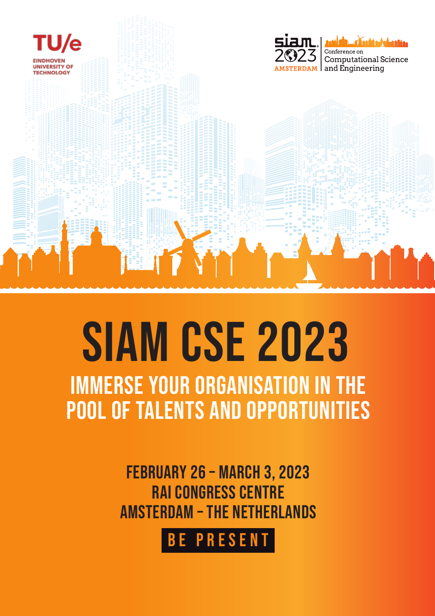

# SIAM CSE 2023immerse your organisation in the pool of talents and opportunities

February 26 – March 3, 2023 RAI Congress CentreAmsterdam – The Netherlands

Be present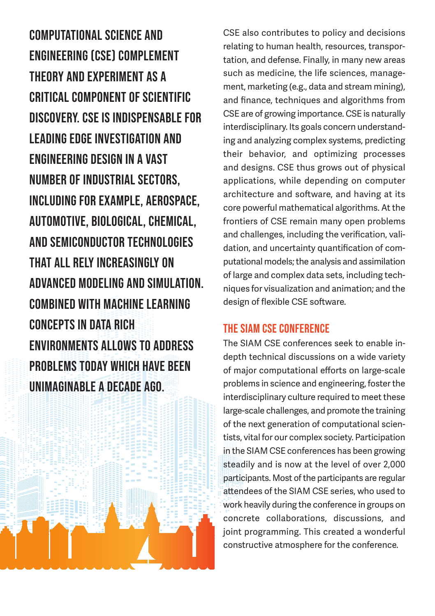Computational Science andEngineering (CSE) complementtheory and experiment as acritical component of scientificdiscovery. CSE is indispensable forleading edge investigation andengineering design in a vastnumber of industrial sectors,including for example, aerospace,automotive, biological, chemical, and semiconductor technologiesthat all rely increasingly onadvanced modeling and simulation.COMBINED WITH MACHINE LEARNINGCONCEPTS IN DATA RICHENVIRONMENTS ALLOWS TO ADDRESSPROBLEMS TODAY WHICH HAVE BEEN UNIMAGINABLE A DECADE AGO.



CSE also contributes to policy and decisions relating to human health, resources, transportation, and defense. Finally, in many new areas such as medicine, the life sciences, management, marketing (e.g., data and stream mining), and finance, techniques and algorithms from CSE are of growing importance. CSE is naturally interdisciplinary. Its goals concern understanding and analyzing complex systems, predicting their behavior, and optimizing processes and designs. CSE thus grows out of physical applications, while depending on computer architecture and software, and having at its core powerful mathematical algorithms. At the frontiers of CSE remain many open problems and challenges, including the verification, validation, and uncertainty quantification of computational models; the analysis and assimilation of large and complex data sets, including techniques for visualization and animation; and the design of flexible CSE software.

## The SIAM CSE conference

The SIAM CSE conferences seek to enable indepth technical discussions on a wide variety of major computational efforts on large-scale problems in science and engineering, foster the interdisciplinary culture required to meet these large-scale challenges, and promote the training of the next generation of computational scientists, vital for our complex society. Participation in the SIAM CSE conferences has been growing steadily and is now at the level of over 2,000 participants. Most of the participants are regular attendees of the SIAM CSE series, who used to work heavily during the conference in groups on concrete collaborations, discussions, and joint programming. This created a wonderful constructive atmosphere for the conference.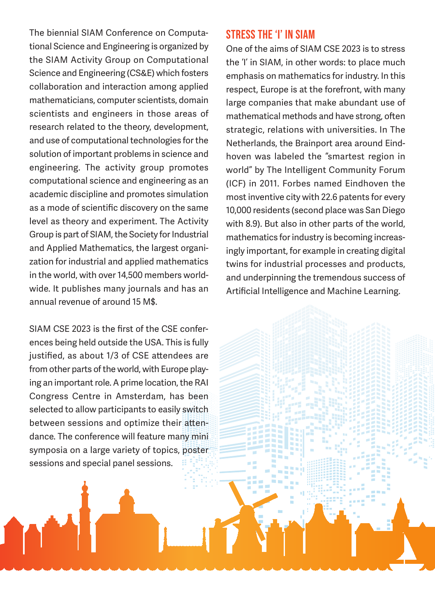The biennial SIAM Conference on Computational Science and Engineering is organized by the SIAM Activity Group on Computational Science and Engineering (CS&E) which fosters collaboration and interaction among applied mathematicians, computer scientists, domain scientists and engineers in those areas of research related to the theory, development, and use of computational technologies for the solution of important problems in science and engineering. The activity group promotes computational science and engineering as an academic discipline and promotes simulation as a mode of scientific discovery on the same level as theory and experiment. The Activity Group is part of SIAM, the Society for Industrial and Applied Mathematics, the largest organization for industrial and applied mathematics in the world, with over 14,500 members worldwide. It publishes many journals and has an annual revenue of around 15 M\$.

SIAM CSE 2023 is the first of the CSE conferences being held outside the USA. This is fully justified, as about 1/3 of CSE attendees are from other parts of the world, with Europe playing an important role. A prime location, the RAI Congress Centre in Amsterdam, has been selected to allow participants to easily switch between sessions and optimize their attendance. The conference will feature many mini symposia on a large variety of topics, poster sessions and special panel sessions.

#### stress the 'I' in SIAM

One of the aims of SIAM CSE 2023 is to stress the 'I' in SIAM, in other words: to place much emphasis on mathematics for industry. In this respect, Europe is at the forefront, with many large companies that make abundant use of mathematical methods and have strong, often strategic, relations with universities. In The Netherlands, the Brainport area around Eindhoven was labeled the "smartest region in world" by The Intelligent Community Forum (ICF) in 2011. Forbes named Eindhoven the most inventive city with 22.6 patents for every 10,000 residents (second place was San Diego with 8.9). But also in other parts of the world, mathematics for industry is becoming increasingly important, for example in creating digital twins for industrial processes and products, and underpinning the tremendous success of Artificial Intelligence and Machine Learning.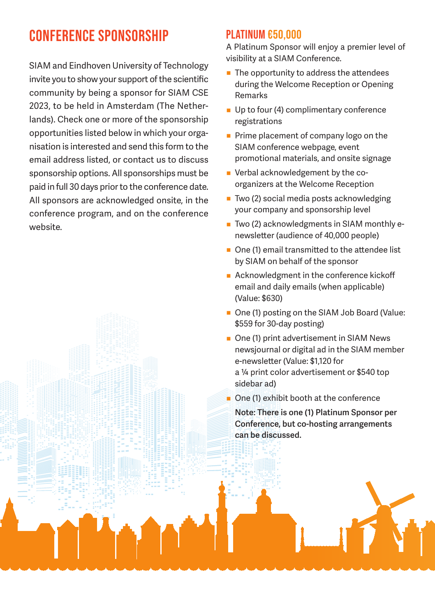# CONFERENCE SPONSORSHIP

SIAM and Eindhoven University of Technology invite you to show your support of the scientific community by being a sponsor for SIAM CSE 2023, to be held in Amsterdam (The Netherlands). Check one or more of the sponsorship opportunities listed below in which your organisation is interested and send this form to the email address listed, or contact us to discuss sponsorship options. All sponsorships must be paid in full 30 days prior to the conference date. All sponsors are acknowledged onsite, in the conference program, and on the conference website.

## PLATINUM €50,000

A Platinum Sponsor will enjoy a premier level of visibility at a SIAM Conference.

- $\blacksquare$  The opportunity to address the attendees during the Welcome Reception or Opening Remarks
- Up to four (4) complimentary conference registrations
- Prime placement of company logo on the SIAM conference webpage, event promotional materials, and onsite signage
- Verbal acknowledgement by the coorganizers at the Welcome Reception
- Two (2) social media posts acknowledging your company and sponsorship level
- $\blacksquare$  Two (2) acknowledgments in SIAM monthly enewsletter (audience of 40,000 people)
- One (1) email transmitted to the attendee list by SIAM on behalf of the sponsor
- Acknowledgment in the conference kickoff email and daily emails (when applicable) (Value: \$630)
- One (1) posting on the SIAM Job Board (Value: \$559 for 30-day posting)
- One (1) print advertisement in SIAM News newsjournal or digital ad in the SIAM member e-newsletter (Value: \$1,120 for a ¼ print color advertisement or \$540 top sidebar ad)

One (1) exhibit booth at the conference **Note: There is one (1) Platinum Sponsor per Conference, but co-hosting arrangements can be discussed.**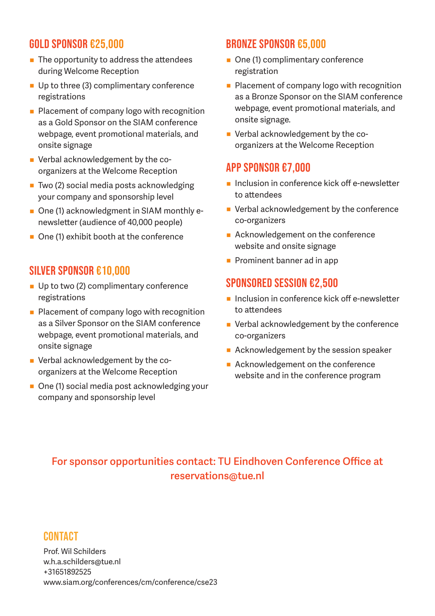### Gold Sponsor €25,000

- $\blacksquare$  The opportunity to address the attendees during Welcome Reception
- Up to three (3) complimentary conference registrations
- **Placement of company logo with recognition** as a Gold Sponsor on the SIAM conference webpage, event promotional materials, and onsite signage
- Verbal acknowledgement by the coorganizers at the Welcome Reception
- Two (2) social media posts acknowledging your company and sponsorship level
- One (1) acknowledgment in SIAM monthly enewsletter (audience of 40,000 people)
- One (1) exhibit booth at the conference

#### SILVER SPONSOR €10,000

- Up to two (2) complimentary conference registrations
- **Placement of company logo with recognition** as a Silver Sponsor on the SIAM conference webpage, event promotional materials, and onsite signage
- Verbal acknowledgement by the coorganizers at the Welcome Reception
- One (1) social media post acknowledging your company and sponsorship level

#### BRONZE SPONSOR €5,000

- One (1) complimentary conference registration
- Placement of company logo with recognition as a Bronze Sponsor on the SIAM conference webpage, event promotional materials, and onsite signage.
- Verbal acknowledgement by the coorganizers at the Welcome Reception

#### APP SPONSOR €7,000

- **Inclusion in conference kick off e-newsletter** to attendees
- Verbal acknowledgement by the conference co-organizers
- Acknowledgement on the conference website and onsite signage
- **Prominent banner ad in app**

# SPONSORED SESSION €2,500

- Inclusion in conference kick off e-newsletter to attendees
- Verbal acknowledgement by the conference co-organizers
- Acknowledgement by the session speaker
- Acknowledgement on the conference website and in the conference program

# **For sponsor opportunities contact: TU Eindhoven Conference Office at reservations@tue.nl**

#### **CONTACT**

Prof. Wil Schilders w.h.a.schilders@tue.nl +31651892525 www.siam.org/conferences/cm/conference/cse23